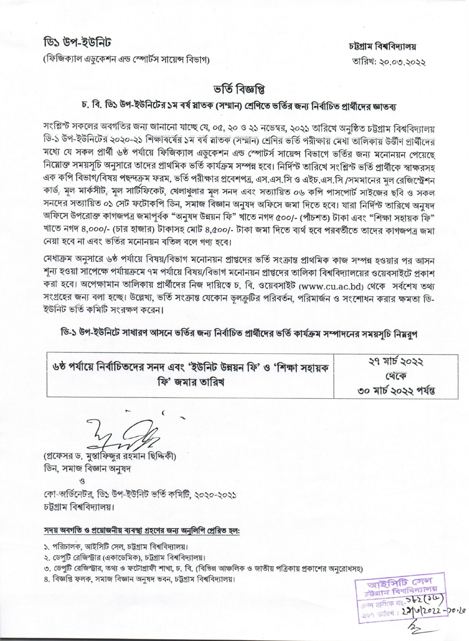(ফিজিক্যাল এডকেশন এন্ড স্পোর্টস সায়েন্স বিভাগ)

## ভৰ্তি বিজ্ঞপ্তি

## চ. বি. ডি১ উপ-ইউনিটের ১ম বর্ষ মাতক (সম্মান) শ্রেণিতে ভর্তির জন্য নির্বাচিত প্রার্থীদের জ্ঞাতব্য

সংশ্লিন্ট সকলের অবগতির জন্য জানানো যাচ্ছে যে, ০৫, ২০ ও ২১ নভেম্বর, ২০২১ তারিখে অনুষ্ঠিত চট্টগ্রাম বিশ্ববিদ্যালয় ডি-১ উপ-ইউনিটের ২০২০-২১ শিক্ষাবর্ষের ১ম বর্ষ স্নাতক (সম্মান) শ্রেণির ভর্তি পরীক্ষায় মেধা তালিকায় উর্ত্তীণ প্রার্থীদের মধ্যে যে সকল প্রার্থী ৬ষ্ঠ পর্যায়ে ফিজিক্যাল এডুকেশন এন্ড স্পোটর্স সায়েন্স বিভাগে ভর্তির জন্য মনোনয়ন পেয়েছে নিয়োক্ত সময়সূচি অনুসারে তাদের প্রাথমিক ভর্তি কার্যক্রম সম্পন্ন হবে। নির্দিস্ট তারিখে সংশ্লিস্ট ভর্তি প্রার্থীকে স্বাক্ষরসহ এক কপি বিভাগ/বিষয় পছন্দক্রম ফরম, ভর্তি পরীক্ষার প্রবেশপত্র, এস.এস.সি ও এইচ.এস.সি /সমমানের মুল রেজিস্ট্রেশন কার্ড, মূল মার্কসীট, মূল সার্টিফিকেট, খেলাধুলার মূল সনদ এবং সত্যায়িত ০৬ কপি পাসপোর্ট সাইজের ছবি ও সকল সনদের সত্যায়িত ০১ সেট ফটোকপি ডিন, সমাজ বিজ্ঞান অনুষদ অফিসে জমা দিতে হবে। যারা নির্দিস্ট তারিখে অনুষদ অফিসে উপরোক্ত কাগজপত্র জমাপূর্বক "অনুষদ উন্নয়ন ফি" খাতে নগদ ৫০০/- (পাঁচশত) টাকা এবং "শিক্ষা সহায়ক ফি" খাতে নগদ ৪,০০০/- (চার হাজার) টাকাসহ মোট ৪,৫০০/- টাকা জমা দিতে ব্যর্থ হবে পরবর্তীতে তাদের কাগজপত্র জমা নেয়া হবে না এবং ভর্তির মনোনয়ন বতিল বলে গণ্য হবে।

মেধাক্রম অনুসারে ৬ষ্ঠ পর্যায়ে বিষয়/বিভাগ মনোনয়ন প্রাপ্তদের ভর্তি সংক্রান্ত প্রাথমিক কাজ সম্পন্ন হওয়ার পর আসন শূন্য হওয়া সাপেক্ষে পর্যায়ক্রমে ৭ম পর্যায়ে বিষয়/বিভাগ মনোনয়ন প্রাপ্তদের তালিকা বিশ্ববিদ্যালয়ের ওয়েবসাইটে প্রকাশ করা হবে। অপেক্ষামান তালিকায় প্রার্থীদের নিজ দায়িত্বে চ. বি. ওয়েবসাইট (www.cu.ac.bd) থেকে সর্বশেষ তথ্য সংগ্রহের জন্য বলা হচ্ছে। উল্লেখ্য, ভর্তি সংক্রান্ত যেকোন ভুলক্রুটির পরিবর্তন, পরিমার্জন ও সংশোধন করার ক্ষমতা ডি-ইউনিট ভর্তি কমিটি সংরক্ষণ করেন।

ডি-১ উপ-ইউনিটে সাধারণ আসনে ভর্তির জন্য নির্বাচিত প্রার্থীদের ভর্তি কার্যক্রম সম্পাদনের সময়সৃচি নিম্নরুপ

| । ৬ষ্ঠ পর্যায়ে নির্বাচিতদের সনদ এবং 'ইউনিট উন্নয়ন ফি' ও 'শিক্ষা সহায়ক <sup>।</sup> | ২৭ মার্চ ২০২২         |
|---------------------------------------------------------------------------------------|-----------------------|
| ফি' জমার তারিখ                                                                        | Q(C)                  |
|                                                                                       | ৩০ মার্চ ২০২২ পর্যন্ত |

 $\epsilon$ 

(প্রফেসর ড. মুস্তাফিজুর রহমান ছিদ্দিকী) ডিন, সমাজ বিজ্ঞান অনুষদ

কো-অর্ডিনেটর, ডি১ উপ-ইউনিট ভর্তি কমিটি, ২০২০-২০২১ চট্টগাম বিশ্ববিদ্যালয়।

## সদয় অবগতি ও প্রয়োজনীয় ব্যবস্থা গ্রহণের জন্য অনুলিপি প্রেরিত হল:

- ১. পরিচালক, আইসিটি সেল, চট্টগ্রাম বিশ্ববিদ্যালয়।
- ২. ডেপুটি রেজিস্ট্রার (একাডেমিক), চট্টগ্রাম বিশ্ববিদ্যালয়।
- ৩. ডেপুটি রেজিস্ট্রার, তথ্য ও ফটোগ্রাফী শাখা, চ. বি. (বিভিন্ন আঞ্চলিক ও জাতীয় পত্রিকায় প্রকাশের অনরোধসহ)
- ৪. বিজ্ঞপ্তি ফলক, সমাজ বিজ্ঞান অনুষদ ভবন, চট্টগ্ৰাম বিশ্ববিদ্যালয়।

আইসিটি সেল ট্টগ্ৰাম বিশ্ববিদ্যালয়  $\frac{1}{2000}$  contains are  $562(50)$ 2022-2012022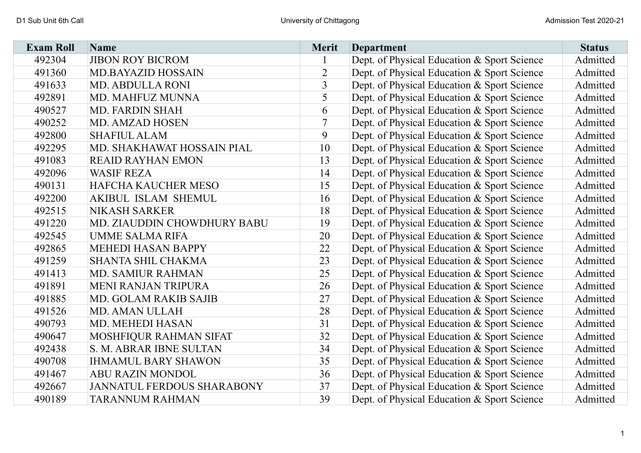| <b>Exam Roll</b> | Name                              | <b>Merit</b>   | <b>Department</b>                           | <b>Status</b> |
|------------------|-----------------------------------|----------------|---------------------------------------------|---------------|
| 492304           | <b>JIBON ROY BICROM</b>           |                | Dept. of Physical Education & Sport Science | Admitted      |
| 491360           | <b>MD.BAYAZID HOSSAIN</b>         | $\overline{2}$ | Dept. of Physical Education & Sport Science | Admitted      |
| 491633           | <b>MD. ABDULLA RONI</b>           | 3              | Dept. of Physical Education & Sport Science | Admitted      |
| 492891           | MD. MAHFUZ MUNNA                  | 5              | Dept. of Physical Education & Sport Science | Admitted      |
| 490527           | <b>MD. FARDIN SHAH</b>            | 6              | Dept. of Physical Education & Sport Science | Admitted      |
| 490252           | <b>MD. AMZAD HOSEN</b>            |                | Dept. of Physical Education & Sport Science | Admitted      |
| 492800           | <b>SHAFIUL ALAM</b>               | 9              | Dept. of Physical Education & Sport Science | Admitted      |
| 492295           | MD. SHAKHAWAT HOSSAIN PIAL        | 10             | Dept. of Physical Education & Sport Science | Admitted      |
| 491083           | <b>REAID RAYHAN EMON</b>          | 13             | Dept. of Physical Education & Sport Science | Admitted      |
| 492096           | <b>WASIF REZA</b>                 | 14             | Dept. of Physical Education & Sport Science | Admitted      |
| 490131           | <b>HAFCHA KAUCHER MESO</b>        | 15             | Dept. of Physical Education & Sport Science | Admitted      |
| 492200           | <b>AKIBUL ISLAM SHEMUL</b>        | 16             | Dept. of Physical Education & Sport Science | Admitted      |
| 492515           | <b>NIKASH SARKER</b>              | 18             | Dept. of Physical Education & Sport Science | Admitted      |
| 491220           | MD. ZIAUDDIN CHOWDHURY BABU       | 19             | Dept. of Physical Education & Sport Science | Admitted      |
| 492545           | <b>UMME SALMA RIFA</b>            | 20             | Dept. of Physical Education & Sport Science | Admitted      |
| 492865           | <b>MEHEDI HASAN BAPPY</b>         | 22             | Dept. of Physical Education & Sport Science | Admitted      |
| 491259           | <b>SHANTA SHIL CHAKMA</b>         | 23             | Dept. of Physical Education & Sport Science | Admitted      |
| 491413           | <b>MD. SAMIUR RAHMAN</b>          | 25             | Dept. of Physical Education & Sport Science | Admitted      |
| 491891           | <b>MENI RANJAN TRIPURA</b>        | 26             | Dept. of Physical Education & Sport Science | Admitted      |
| 491885           | <b>MD. GOLAM RAKIB SAJIB</b>      | 27             | Dept. of Physical Education & Sport Science | Admitted      |
| 491526           | MD. AMAN ULLAH                    | 28             | Dept. of Physical Education & Sport Science | Admitted      |
| 490793           | <b>MD. MEHEDI HASAN</b>           | 31             | Dept. of Physical Education & Sport Science | Admitted      |
| 490647           | MOSHFIQUR RAHMAN SIFAT            | 32             | Dept. of Physical Education & Sport Science | Admitted      |
| 492438           | S. M. ABRAR IBNE SULTAN           | 34             | Dept. of Physical Education & Sport Science | Admitted      |
| 490708           | <b>IHMAMUL BARY SHAWON</b>        | 35             | Dept. of Physical Education & Sport Science | Admitted      |
| 491467           | <b>ABU RAZIN MONDOL</b>           | 36             | Dept. of Physical Education & Sport Science | Admitted      |
| 492667           | <b>JANNATUL FERDOUS SHARABONY</b> | 37             | Dept. of Physical Education & Sport Science | Admitted      |
| 490189           | <b>TARANNUM RAHMAN</b>            | 39             | Dept. of Physical Education & Sport Science | Admitted      |